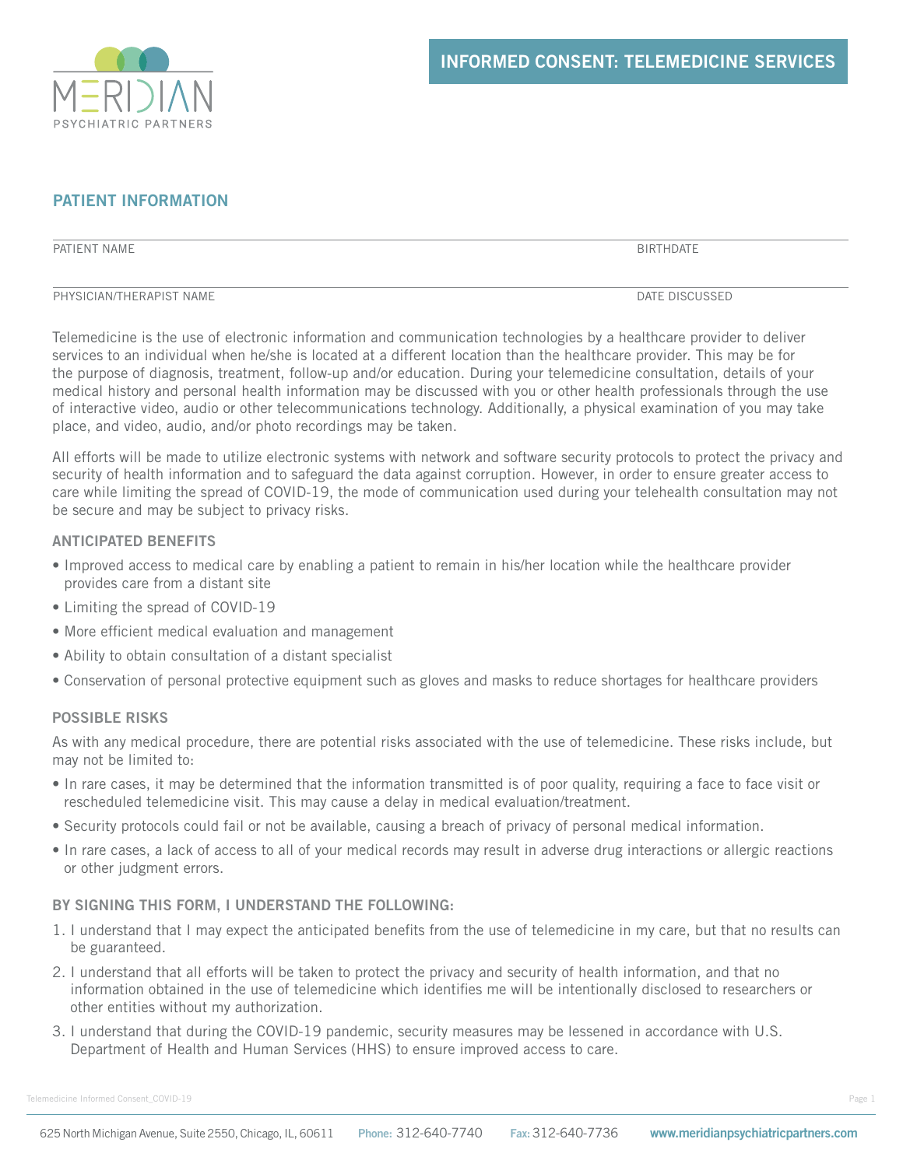

# **PATIENT INFORMATION**

PATIENT NAME BIRTHDATE

PHYSICIAN/THERAPIST NAME **DATE DISCUSSED** 

Telemedicine is the use of electronic information and communication technologies by a healthcare provider to deliver services to an individual when he/she is located at a different location than the healthcare provider. This may be for the purpose of diagnosis, treatment, follow-up and/or education. During your telemedicine consultation, details of your medical history and personal health information may be discussed with you or other health professionals through the use of interactive video, audio or other telecommunications technology. Additionally, a physical examination of you may take place, and video, audio, and/or photo recordings may be taken.

All efforts will be made to utilize electronic systems with network and software security protocols to protect the privacy and security of health information and to safeguard the data against corruption. However, in order to ensure greater access to care while limiting the spread of COVID-19, the mode of communication used during your telehealth consultation may not be secure and may be subject to privacy risks.

### **ANTICIPATED BENEFITS**

- Improved access to medical care by enabling a patient to remain in his/her location while the healthcare provider provides care from a distant site
- Limiting the spread of COVID-19
- More efficient medical evaluation and management
- Ability to obtain consultation of a distant specialist
- Conservation of personal protective equipment such as gloves and masks to reduce shortages for healthcare providers

### **POSSIBLE RISKS**

As with any medical procedure, there are potential risks associated with the use of telemedicine. These risks include, but may not be limited to:

- In rare cases, it may be determined that the information transmitted is of poor quality, requiring a face to face visit or rescheduled telemedicine visit. This may cause a delay in medical evaluation/treatment.
- Security protocols could fail or not be available, causing a breach of privacy of personal medical information.
- In rare cases, a lack of access to all of your medical records may result in adverse drug interactions or allergic reactions or other judgment errors.

### **BY SIGNING THIS FORM, I UNDERSTAND THE FOLLOWING:**

- 1. I understand that I may expect the anticipated benefits from the use of telemedicine in my care, but that no results can be guaranteed.
- 2. I understand that all efforts will be taken to protect the privacy and security of health information, and that no information obtained in the use of telemedicine which identifies me will be intentionally disclosed to researchers or other entities without my authorization.
- 3. I understand that during the COVID-19 pandemic, security measures may be lessened in accordance with U.S. Department of Health and Human Services (HHS) to ensure improved access to care.

Telemedicine Informed Consent\_COVID-19 Page 1